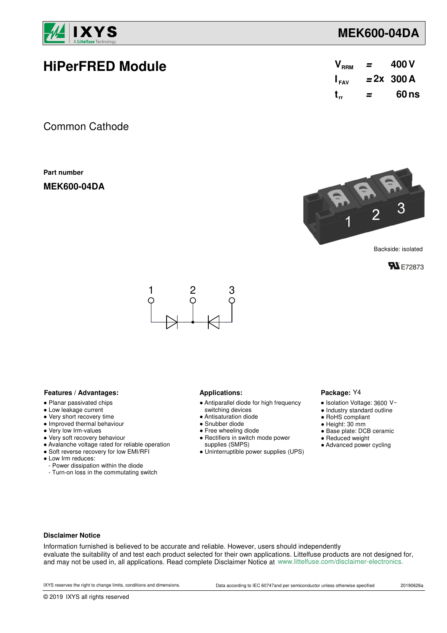

### **MEK600-04DA**

| <b>HiPerFRED Module</b> |  | $V_{RRM}$ = 400 V          |
|-------------------------|--|----------------------------|
|                         |  | $I_{\text{av}}$ = 2x 300 A |
|                         |  | t = 60 ns                  |
|                         |  |                            |

Common Cathode

**Part number**

**MEK600-04DA**



Backside: isolated





#### **Features / Advantages:** Applications:

- Planar passivated chips
- Low leakage current
- Very short recovery time
- Improved thermal behaviour
- Very low Irm-values
- Very soft recovery behaviour
- Avalanche voltage rated for reliable operation
- Soft reverse recovery for low EMI/RFI
- Low Irm reduces:
	- Power dissipation within the diode
- Turn-on loss in the commutating switch

- Antiparallel diode for high frequency
- switching devices
- Antisaturation diode
- Snubber diode
- Free wheeling diode ● Rectifiers in switch mode power
- supplies (SMPS)
- Uninterruptible power supplies (UPS)

#### Package: Y4

- $\bullet$  Isolation Voltage: 3600 V~
- Industry standard outline
- RoHS compliant
- Height: 30 mm
- Base plate: DCB ceramic
- Reduced weight
- 
- Advanced power cycling

#### **Disclaimer Notice**

Information furnished is believed to be accurate and reliable. However, users should independently evaluate the suitability of and test each product selected for their own applications. Littelfuse products are not designed for, and may not be used in, all applications. Read complete Disclaimer Notice at www.littelfuse.com/disclaimer-electronics.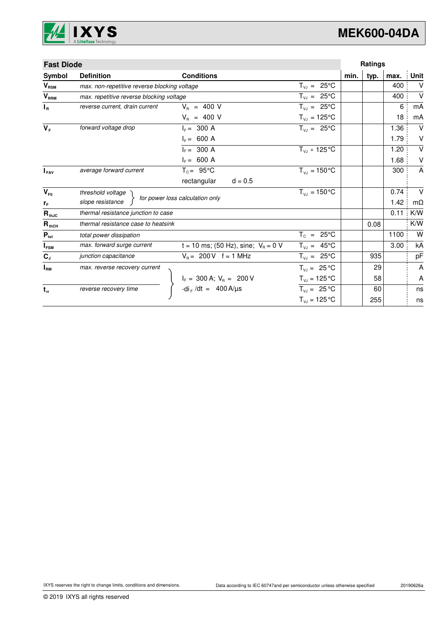

## **MEK600-04DA**

| <b>Fast Diode</b> |                                              |                                                                               |                                 |      | Ratings |      |                |
|-------------------|----------------------------------------------|-------------------------------------------------------------------------------|---------------------------------|------|---------|------|----------------|
| Symbol            | <b>Definition</b>                            | <b>Conditions</b>                                                             |                                 | min. | typ.    | max. | Unit           |
| $V_{\text{RSM}}$  | max. non-repetitive reverse blocking voltage |                                                                               | $T_{VJ} = 25^{\circ}C$          |      |         | 400  | $\vee$         |
| $V_{RRM}$         | max. repetitive reverse blocking voltage     |                                                                               | $T_{VJ} = 25^{\circ}C$          |      |         | 400  | $\vee$         |
| $I_R$             | reverse current, drain current               | $V_{B}$ = 400 V                                                               | $T_{V,I} = 25^{\circ}C$         |      |         | 6    | mA             |
|                   |                                              | $V_R$ = 400 V                                                                 | $T_{\nu J} = 125$ °C            |      |         | 18   | mA             |
| $V_F$             | forward voltage drop                         | $I_F = 300 A$                                                                 | $T_{V,1} = 25^{\circ}C$         |      |         | 1.36 | $\vee$         |
|                   |                                              | $I_F = 600 A$                                                                 |                                 |      |         | 1.79 | V              |
|                   |                                              | $I_F = 300 A$                                                                 | $T_{VJ}$ = 125 °C               |      |         | 1.20 | $\sf V$        |
|                   |                                              | $I_F = 600 A$                                                                 |                                 |      |         | 1.68 | V              |
| $I_{\text{FAV}}$  | average forward current                      | $T_c = 95^{\circ}$ C                                                          | $T_{VJ} = 150^{\circ}C$         |      |         | 300  | $\overline{A}$ |
|                   |                                              | rectangular<br>$d = 0.5$                                                      |                                 |      |         |      |                |
| $V_{F0}$          | threshold voltage                            |                                                                               | $T_{\rm{VJ}} = 150^{\circ}C$    |      |         | 0.74 | $\vee$         |
| $r_F$             | slope resistance                             | for power loss calculation only                                               |                                 |      |         | 1.42 | $m\Omega$      |
| $R_{thJC}$        | thermal resistance junction to case          |                                                                               |                                 |      |         | 0.11 | K/W            |
| $R_{thCH}$        | thermal resistance case to heatsink          |                                                                               |                                 |      | 0.08    |      | K/W            |
| $P_{\text{tot}}$  | total power dissipation                      |                                                                               | $T_c = 25^{\circ}C$             |      |         | 1100 | W              |
| $I_{FSM}$         | max. forward surge current                   | t = 10 ms; (50 Hz), sine; $V_B = 0$ V                                         | $T_{VJ} = 45^{\circ}C$          |      |         | 3.00 | kA             |
| $\mathbf{C}_{J}$  | junction capacitance                         | $V_B = 200 V$ f = 1 MHz                                                       | $T_{VJ} = 25^{\circ}C$          |      | 935     |      | pF             |
| $I_{\rm RM}$      | max. reverse recovery current                |                                                                               | $T_{VJ} = 25 °C$                |      | 29      |      | A              |
|                   |                                              |                                                                               | $T_{VJ} = 125 \degree C$        |      | 58      |      | Α              |
| $t_{rr}$          | reverse recovery time                        | $I_F = 300 \text{ A}; V_R = 200 \text{ V}$<br>-di <sub>F</sub> /dt = 400 A/µs | $T_{VJ} = 25 °C$                |      | 60      |      | ns             |
|                   |                                              |                                                                               | $T_{\text{VJ}} = 125 \text{°C}$ |      | 255     |      | ns             |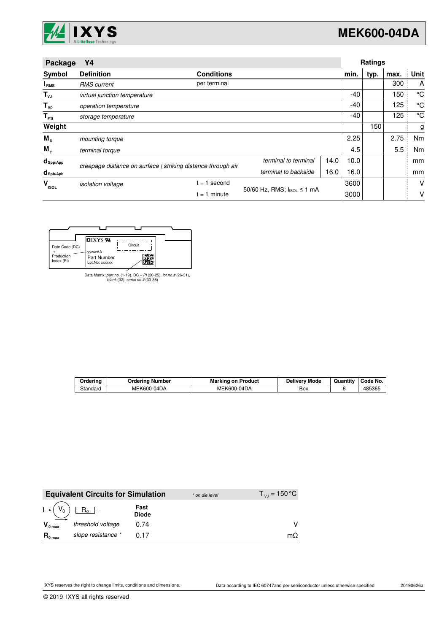

| Package<br>Υ4                   |                              |                                                              | Ratings                    |      |      |      |      |      |
|---------------------------------|------------------------------|--------------------------------------------------------------|----------------------------|------|------|------|------|------|
| Symbol                          | <b>Definition</b>            | <b>Conditions</b>                                            |                            |      | min. | typ. | max. | Unit |
| <b>I</b> <sub>RMS</sub>         | <b>RMS</b> current           | per terminal                                                 |                            |      |      |      | 300  | A    |
| $T_{\nu J}$                     | virtual junction temperature |                                                              |                            |      | -40  |      | 150  | °C   |
| $T_{op}$                        | operation temperature        |                                                              |                            |      | -40  |      | 125  | °C   |
| $\mathsf{T}_{\mathsf{stg}}$     | storage temperature          |                                                              |                            |      | -40  |      | 125  | °C   |
| Weight                          |                              |                                                              |                            |      |      | 150  |      | g    |
| $M_{\rm{D}}$                    | mounting torque              |                                                              |                            |      | 2.25 |      | 2.75 | Nm   |
| $M_{\tau}$                      | terminal torque              |                                                              |                            |      | 4.5  |      | 5.5  | Nm   |
| $d_{\mathsf{Spp/App}}$          |                              | creepage distance on surface   striking distance through air | terminal to terminal       | 14.0 | 10.0 |      |      | mm   |
| $d_{\mathsf{Spb}/\mathsf{Apb}}$ |                              |                                                              | terminal to backside       | 16.0 | 16.0 |      |      | mm   |
| v<br><b>ISOL</b>                | <i>isolation</i> voltage     | $= 1$ second                                                 |                            |      | 3600 |      |      | V    |
|                                 |                              | $= 1$ minute                                                 | 50/60 Hz, RMS; IsoL ≤ 1 mA |      | 3000 |      |      | ٧    |

| Date Code (DC)<br>Production<br>Index (PI) | ש IXYS <b>ש</b><br>yywwAA<br>Part Number<br>Lot.No: xxxxxx | Circuit |  |
|--------------------------------------------|------------------------------------------------------------|---------|--|

Data Matrix: part no. (1-19), DC + PI (20-25), lot.no.# (26-31), blank (32), serial no.# (33-36)

| <b>Marking on Product</b><br>Orderina<br>Ordering Number |             |             | <b>Delivery Mode</b> | Quantity | Code No. |
|----------------------------------------------------------|-------------|-------------|----------------------|----------|----------|
| Standard                                                 | MEK600-04DA | MEK600-04DA | Box                  |          | 485365   |

|                     | <b>Equivalent Circuits for Simulation</b> |                      | * on die level | $T_{\rm{VJ}}$ = 150 °C |
|---------------------|-------------------------------------------|----------------------|----------------|------------------------|
|                     | $R_{o}$                                   | Fast<br><b>Diode</b> |                |                        |
| $V_{0 \text{ max}}$ | threshold voltage                         | 0.74                 |                |                        |
| $R_{0 \text{ max}}$ | slope resistance *                        | 0.17                 |                | $m\Omega$              |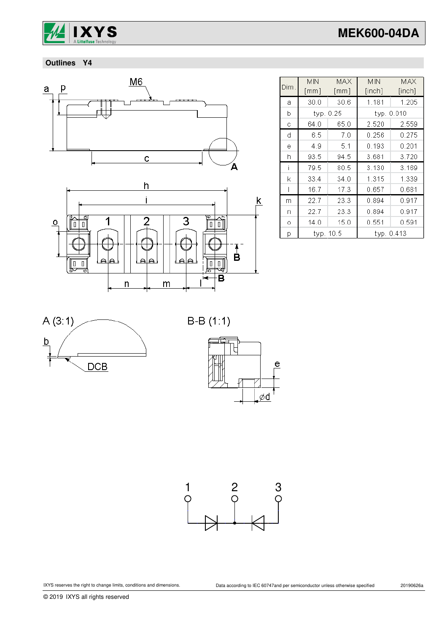

# **MEK600-04DA**

 **Outlines Y4**





|      | <b>MIN</b>         | MAX  | <b>MIN</b> | MAX    |  |
|------|--------------------|------|------------|--------|--|
| Dim. | $\lceil mm \rceil$ | [mm] | [inch]     | [inch] |  |
| а    | 30.0               | 30.6 | 1.181      | 1.205  |  |
| b    | typ. 0.25          |      | typ. 0.010 |        |  |
| C    | 64.0               | 65.0 | 2.520      | 2.559  |  |
| d    | 6.5                | 7.0  | 0.256      | 0.275  |  |
| ė    | 49                 | 5.1  | 0.193      | 0.201  |  |
| h    | 93.5               | 94.5 | 3.681      | 3.720  |  |
|      | 79.5               | 80.5 | 3.130      | 3.169  |  |
| k    | 33.4               | 34.0 | 1.315      | 1.339  |  |
|      | 16.7               | 17.3 | 0.657      | 0.681  |  |
| m    | 22.7               | 23.3 | 0.894      | 0.917  |  |
| n    | 22.7               | 23.3 | 0.894      | 0.917  |  |
| Ō    | 14.0               | 15.0 | 0.551      | 0.591  |  |
| p    | typ. 10.5          |      | typ. 0.413 |        |  |